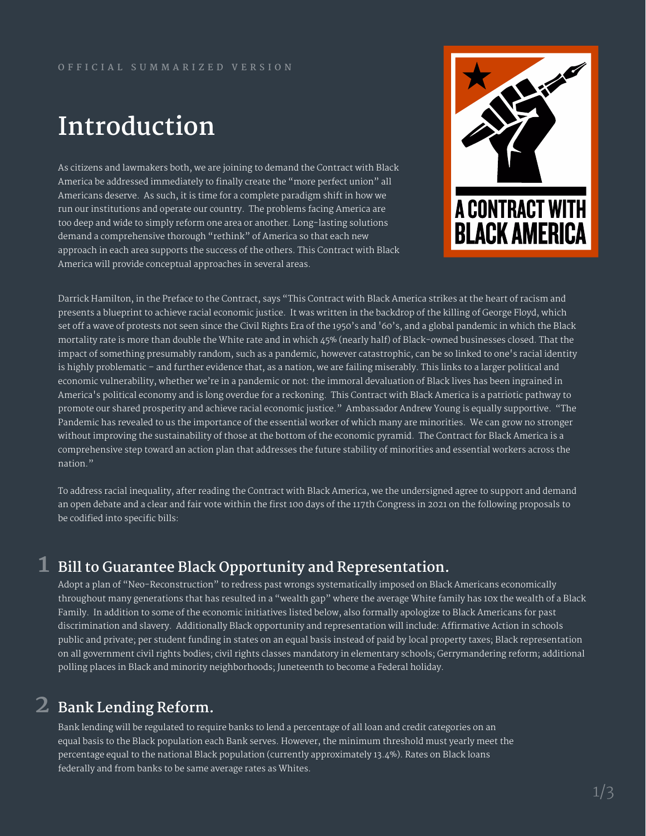# **Introduction**

As citizens and lawmakers both, we are joining to demand the Contract with Black America be addressed immediately to finally create the "more perfect union" all Americans deserve. As such, it is time for a complete paradigm shift in how we run our institutions and operate our country. The problems facing America are too deep and wide to simply reform one area or another. Long-lasting solutions demand a comprehensive thorough "rethink" of America so that each new approach in each area supports the success of the others. This Contract with Black America will provide conceptual approaches in several areas.



Darrick Hamilton, in the Preface to the Contract, says "This Contract with Black America strikes at the heart of racism and presents a blueprint to achieve racial economic justice. It was written in the backdrop of the killing of George Floyd, which set off a wave of protests not seen since the Civil Rights Era of the 1950's and '60's, and a global pandemic in which the Black mortality rate is more than double the White rate and in which 45% (nearly half) of Black-owned businesses closed. That the impact of something presumably random, such as a pandemic, however catastrophic, can be so linked to one's racial identity is highly problematic – and further evidence that, as a nation, we are failing miserably. This links to a larger political and economic vulnerability, whether we're in a pandemic or not: the immoral devaluation of Black lives has been ingrained in America's political economy and is long overdue for a reckoning. This Contract with Black America is a patriotic pathway to promote our shared prosperity and achieve racial economic justice." Ambassador Andrew Young is equally supportive. "The Pandemic has revealed to us the importance of the essential worker of which many are minorities. We can grow no stronger without improving the sustainability of those at the bottom of the economic pyramid. The Contract for Black America is a comprehensive step toward an action plan that addresses the future stability of minorities and essential workers across the nation."

To address racial inequality, after reading the Contract with Black America, we the undersigned agree to support and demand an open debate and a clear and fair vote within the first 100 days of the 117th Congress in 2021 on the following proposals to be codified into specific bills:

# $\blacksquare$  Bill to Guarantee Black Opportunity and Representation.

Adopt a plan of "Neo-Reconstruction" to redress past wrongs systematically imposed on Black Americans economically throughout many generations that has resulted in a "wealth gap" where the average White family has 10x the wealth of a Black Family. In addition to some of the economic initiatives listed below, also formally apologize to Black Americans for past discrimination and slavery. Additionally Black opportunity and representation will include: Affirmative Action in schools public and private; per student funding in states on an equal basis instead of paid by local property taxes; Black representation on all government civil rights bodies; civil rights classes mandatory in elementary schools; Gerrymandering reform; additional polling places in Black and minority neighborhoods; Juneteenth to become a Federal holiday.

# **Bank Lending Reform. 2**

Bank lending will be regulated to require banks to lend a percentage of all loan and credit categories on an equal basis to the Black population each Bank serves. However, the minimum threshold must yearly meet the percentage equal to the national Black population (currently approximately 13.4%). Rates on Black loans federally and from banks to be same average rates as Whites.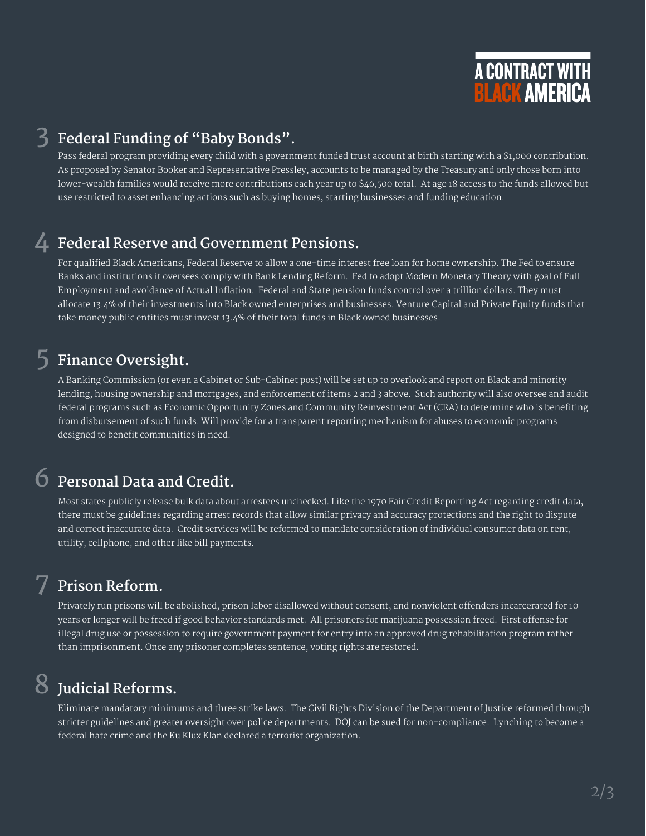

## **3 Federal Funding of "Baby Bonds".**

Pass federal program providing every child with a government funded trust account at birth starting with a \$1,000 contribution. As proposed by Senator Booker and Representative Pressley, accounts to be managed by the Treasury and only those born into lower-wealth families would receive more contributions each year up to \$46,500 total. At age 18 access to the funds allowed but use restricted to asset enhancing actions such as buying homes, starting businesses and funding education.

### **4 Federal Reserve and Government Pensions.**

For qualified Black Americans, Federal Reserve to allow a one-time interest free loan for home ownership. The Fed to ensure Banks and institutions it oversees comply with Bank Lending Reform. Fed to adopt Modern Monetary Theory with goal of Full Employment and avoidance of Actual Inflation. Federal and State pension funds control over a trillion dollars. They must allocate 13.4% of their investments into Black owned enterprises and businesses. Venture Capital and Private Equity funds that take money public entities must invest 13.4% of their total funds in Black owned businesses.

#### **5 Finance Oversight.**

A Banking Commission (or even a Cabinet or Sub-Cabinet post) will be set up to overlook and report on Black and minority lending, housing ownership and mortgages, and enforcement of items 2 and 3 above. Such authority will also oversee and audit federal programs such as Economic Opportunity Zones and Community Reinvestment Act (CRA) to determine who is benefiting from disbursement of such funds. Will provide for a transparent reporting mechanism for abuses to economic programs designed to benefit communities in need.

#### **6 Personal Data and Credit.**

Most states publicly release bulk data about arrestees unchecked. Like the 1970 Fair Credit Reporting Act regarding credit data, there must be guidelines regarding arrest records that allow similar privacy and accuracy protections and the right to dispute and correct inaccurate data. Credit services will be reformed to mandate consideration of individual consumer data on rent, utility, cellphone, and other like bill payments.

#### **7 Prison Reform.**

Privately run prisons will be abolished, prison labor disallowed without consent, and nonviolent ofenders incarcerated for 10 years or longer will be freed if good behavior standards met. All prisoners for marijuana possession freed. First ofense for illegal drug use or possession to require government payment for entry into an approved drug rehabilitation program rather than imprisonment. Once any prisoner completes sentence, voting rights are restored.

## **8 Judicial Reforms.**

Eliminate mandatory minimums and three strike laws. The Civil Rights Division of the Department of Justice reformed through stricter guidelines and greater oversight over police departments. DOJ can be sued for non-compliance. Lynching to become a federal hate crime and the Ku Klux Klan declared a terrorist organization.